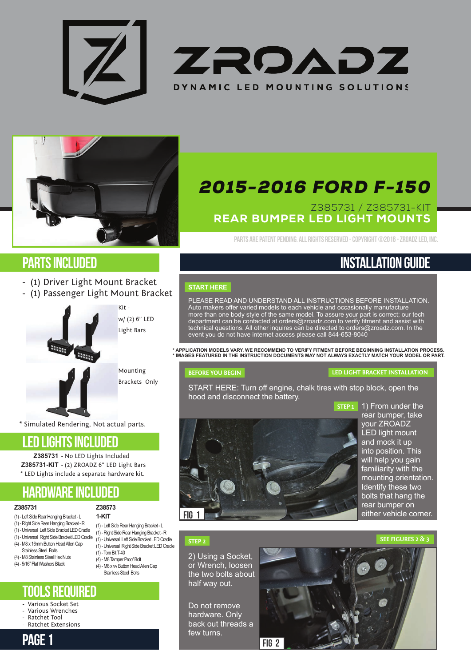





# Parts included

- (1) Driver Light Mount Bracket
- (1) Passenger Light Mount Bracket



Mounting

Brackets Only

w/ (2) 6" LED Light Bars

Kit -

\* Simulated Rendering, Not actual parts.

### LED LIGHTS included

Z385731 - No LED Lights Included **Z385731-KIT** - (2) ZROADZ 6" LED Light Bars \* LED Lights include a separate hardware kit.

> **Z38573 1-KIT**

(1) - Torx Bit T-40 (4) - M8 Tamper Proof Bolt

(1) - Left Side Rear Hanging Bracket - L (1) - Right Side Rear Hanging Bracket - R (1) - Universal Left Side Bracket LED Cradle (1) - Universal Right Side Bracket LED Cradle

# hardware included

#### **Z385731**

- (1) Left Side Rear Hanging Bracket L
- (1) Right Side Rear Hanging Bracket R (1) - Universal Left Side Bracket LED Cradle
- (1) Universal Right Side Bracket LED Cradle
- (4) M8 x 16mm Button Head Allen Cap
- Stainless Steel Bolts (4) - M8 Stainless Steel Hex Nuts
- (4) 5/16" Flat Washers Black
	- (4) M8 x vv Button Head Allen Cap Stainless Steel Bolts

### Tools Required

- Various Socket Set
- Various Wrenches
- Ratchet Tool Ratchet Extensions
	-

# *2015-2016 FORD F-150*

### Z385731 / Z385731-KIT REAR BUMPER LED LIGHT MOUNTS

Parts are PATENT PENDING. All Rights Reserved - Copyright ©2016 - ZROADZ LED, INC.

# Installation Guide

### **START HERE**

PLEASE READ AND UNDERSTAND ALL INSTRUCTIONS BEFORE INSTALLATION. Auto makers offer varied models to each vehicle and occasionally manufacture more than one body style of the same model. To assure your part is correct; our tech department can be contacted at orders@zroadz.com to verify fitment and assist with technical questions. All other inquires can be directed to orders@zroadz.com. In the event you do not have internet access please call 844-653-8040

**\* APPLICATION MODELS VARY. WE RECOMMEND TO VERIFY FITMENT BEFORE BEGINNING INSTALLATION PROCESS. \* IMAGES FEATURED IN THE INSTRUCTION DOCUMENTS MAY NOT ALWAYS EXACTLY MATCH YOUR MODEL OR PART.**

### **BEFORE YOU BEGIN**

### **LED LIGHT BRACKET INSTALLATION**

START HERE: Turn off engine, chalk tires with stop block, open the hood and disconnect the battery.



**STEP 1**  1) From under the rear bumper, take your ZROADZ LED light mount and mock it up into position. This will help you gain familiarity with the mounting orientation. Identify these two bolts that hang the rear bumper on either vehicle corner.

### **STEP 2**

2) Using a Socket, or Wrench, loosen the two bolts about half way out.

PAGE 1 FIG 2 Do not remove hardware. Only back out threads a few turns.

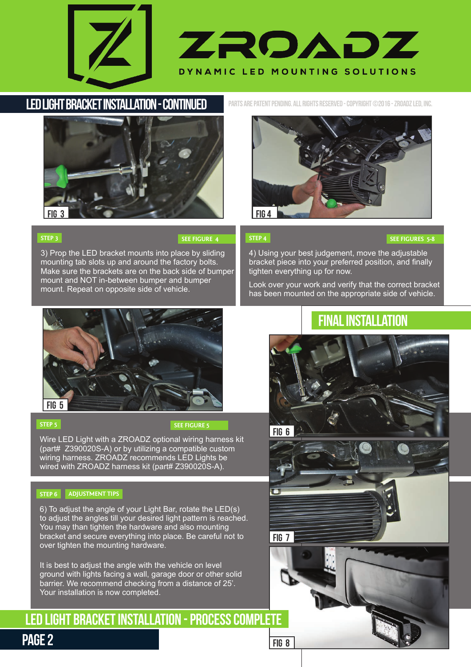



# LED Light Bracket Installation - Continued



3) Prop the LED bracket mounts into place by sliding mounting tab slots up and around the factory bolts. Make sure the brackets are on the back side of bumper mount and NOT in-between bumper and bumper mount. Repeat on opposite side of vehicle.

Parts are PATENT PENDING. All Rights Reserved - Copyright ©2016 - ZROADZ LED, INC.



### **STEP 4**

### **SEE FIGURE 4 SEE FIGURES 5-8**

4) Using your best judgement, move the adjustable bracket piece into your preferred position, and finally tighten everything up for now.

Look over your work and verify that the correct bracket has been mounted on the appropriate side of vehicle.



### **STEP 5**

**STEP 3** 

### **SEE FIGURE 5**

Wire LED Light with a ZROADZ optional wiring harness kit (part# Z390020S-A) or by utilizing a compatible custom wiring harness. ZROADZ recommends LED Lights be wired with ZROADZ harness kit (part# Z390020S-A).

### **STEP 6 ADJUSTMENT TIPS**

6) To adjust the angle of your Light Bar, rotate the LED(s) to adjust the angles till your desired light pattern is reached. You may than tighten the hardware and also mounting bracket and secure everything into place. Be careful not to over tighten the mounting hardware.

It is best to adjust the angle with the vehicle on level ground with lights facing a wall, garage door or other solid barrier. We recommend checking from a distance of 25'. Your installation is now completed.

# LED Light Bracket Installation - Process complete

# Final Installation



# PAGE<sub>2</sub>